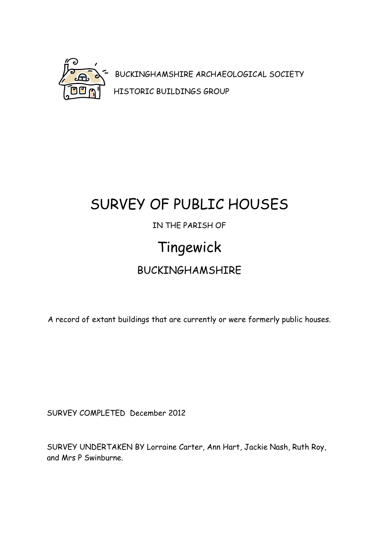

BUCKINGHAMSHIRE ARCHAEOLOGICAL SOCIETY HISTORIC BUILDINGS GROUP

# SURVEY OF PUBLIC HOUSES IN THE PARISH OF Tingewick BUCKINGHAMSHIRE

A record of extant buildings that are currently or were formerly public houses.

SURVEY COMPLETED December 2012

SURVEY UNDERTAKEN BY Lorraine Carter, Ann Hart, Jackie Nash, Ruth Roy, and Mrs P Swinburne.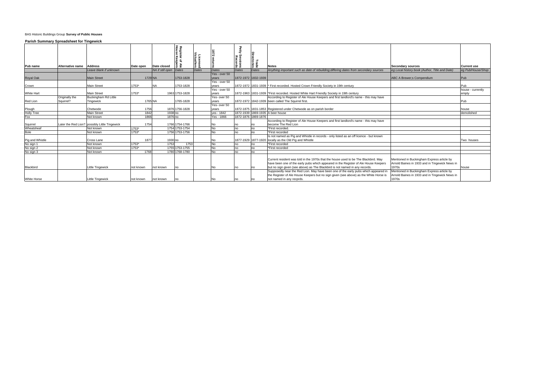| NA if still open Dates<br>Yes - over 50<br>1872-1972 1832-1939<br><b>Main Street</b><br>1729 NA<br>1753-1828<br>ABC A Brewer; s Compendium<br>Pub<br>vears<br>Yes - over 50<br>1753*<br>1753-1828<br><b>Main Street</b><br>1872-1972 1831-1939  * First recorded. Hosted Crown Friendly Society in 19th century<br>Pub<br>vears<br>Yes - over 50<br>house - currently<br>1872-1963 1831-1939  *First recorded. Hosted White Hart Friendly Society in 19th century<br><b>Main Street</b><br>1753*<br>1963 1753-1828<br><b>White Hart</b><br>empty<br>years<br><b>Buckingham Rd Little</b><br>Yes-over 50<br>According to Register of Ale House Keepers and first landlord's name - this may have<br>Originally the<br>1765 NA<br>1765-1828<br>1872-1972 1842-1939 been called The Squirrel first.<br>Sauirrel?<br>Red Lion<br>Tingewick<br>Pub<br>vears<br>Yes-over 50<br>1756<br>1876 1756-1828<br>Plough<br>Holly Tree<br>1872-1875 1831-1853 Registered under Chetwode as on parish border<br>Chetwode<br>vears<br>house<br>1872-1939 1869-1935 A beer house<br>1842<br>1938 no<br>ves - 1842<br><b>Main Street</b><br>demolished<br>Fox<br>1872-1876 1869-1876<br>1866<br>1876 no<br>Yes - 1866<br>Not known<br>According to Register of Ale House Keepers and first landlord's name - this may have<br>1754<br>1766 1754-1766<br>become The Red Lion<br>Later the Red Lion? possibly Little Tingewick<br>Squirrel<br>No<br>no<br>Wheatsheaf<br>1754 1753-1754<br>$1753*$<br>No<br>Not known<br>*First recorded.<br>no<br>no<br>Bole<br>$1753*$<br>1756 1753-1756<br><b>No</b><br>Not known<br>*First recorded<br>no<br>no<br>Is not named as Pig and Whistle in records - only listed as an off licence - but known<br>1877<br>1877-1929 1877-1920 locally as the Old Pig and Whistle<br>Pig and Whistle<br>No sign 1<br>1930 no<br>Cross Lane<br>Two houses<br>No<br>1753<br>1753<br><b>No</b><br>Not known<br>1753*<br>*First recorded<br>no<br>no<br>No sign 2<br>1753*<br>1755 1753-1755<br>No<br>Not known<br>*First recorded<br>no<br>no<br>No<br>No sign 3<br>1768<br>1780 1768-1780<br>Not known<br>no<br>n <sub>0</sub><br>Current resident was told in the 1970s that the house used to be The Blackbird. May<br>Mentioned in Buckingham Express article by<br>have been one of the early pubs which appeared in the Register of Ale House Keepers<br>Arnold Baines in 1933 and in Tingewick News in<br>1970s<br>but no sign given (see above) as The Blackbird is not named in any records.<br><b>Little Tingewick</b><br>not known<br>No<br>not known<br>no<br>no<br>house<br>no<br>Mentioned in Buckingham Express article by<br>Supposedly near the Red Lion. May have been one of the early pubs which appeared in<br>the Register of Ale House Keepers but no sign given (see above) as the White Horse is<br>Arnold Baines in 1933 and in Tingewick News in<br>1970s<br>Little Tingewick<br>not named in any recprds.<br>not known<br>No<br>not known<br>no<br>no | Pub name         | Alternative name Address |                        | Date open | Date closed | Register<br>House K<br>$\overline{a}$<br>동 흚 | Licensed<br>ˈictuallers |       | ᅚ<br>'Sessions<br>Records | Trade<br>Directories | <b>Notes</b>                                                                          | <b>Secondary sources</b>                       | <b>Current use</b> |
|----------------------------------------------------------------------------------------------------------------------------------------------------------------------------------------------------------------------------------------------------------------------------------------------------------------------------------------------------------------------------------------------------------------------------------------------------------------------------------------------------------------------------------------------------------------------------------------------------------------------------------------------------------------------------------------------------------------------------------------------------------------------------------------------------------------------------------------------------------------------------------------------------------------------------------------------------------------------------------------------------------------------------------------------------------------------------------------------------------------------------------------------------------------------------------------------------------------------------------------------------------------------------------------------------------------------------------------------------------------------------------------------------------------------------------------------------------------------------------------------------------------------------------------------------------------------------------------------------------------------------------------------------------------------------------------------------------------------------------------------------------------------------------------------------------------------------------------------------------------------------------------------------------------------------------------------------------------------------------------------------------------------------------------------------------------------------------------------------------------------------------------------------------------------------------------------------------------------------------------------------------------------------------------------------------------------------------------------------------------------------------------------------------------------------------------------------------------------------------------------------------------------------------------------------------------------------------------------------------------------------------------------------------------------------------------------------------------------------------------------------------------------------------------------------------------------------------------------------------------------------------------------------------------------------------------------------------------------------------------|------------------|--------------------------|------------------------|-----------|-------------|----------------------------------------------|-------------------------|-------|---------------------------|----------------------|---------------------------------------------------------------------------------------|------------------------------------------------|--------------------|
|                                                                                                                                                                                                                                                                                                                                                                                                                                                                                                                                                                                                                                                                                                                                                                                                                                                                                                                                                                                                                                                                                                                                                                                                                                                                                                                                                                                                                                                                                                                                                                                                                                                                                                                                                                                                                                                                                                                                                                                                                                                                                                                                                                                                                                                                                                                                                                                                                                                                                                                                                                                                                                                                                                                                                                                                                                                                                                                                                                                        |                  |                          | Leave blank if unknown |           |             |                                              | Dates                   | Dates | <b>Dates</b>              | Dates                | Anything important such as date of rebuilding; differing dates from secondary sources | eq Local history book (Author, Title and Date) | eq Pub/House/Shop  |
|                                                                                                                                                                                                                                                                                                                                                                                                                                                                                                                                                                                                                                                                                                                                                                                                                                                                                                                                                                                                                                                                                                                                                                                                                                                                                                                                                                                                                                                                                                                                                                                                                                                                                                                                                                                                                                                                                                                                                                                                                                                                                                                                                                                                                                                                                                                                                                                                                                                                                                                                                                                                                                                                                                                                                                                                                                                                                                                                                                                        | <b>Royal Oak</b> |                          |                        |           |             |                                              |                         |       |                           |                      |                                                                                       |                                                |                    |
|                                                                                                                                                                                                                                                                                                                                                                                                                                                                                                                                                                                                                                                                                                                                                                                                                                                                                                                                                                                                                                                                                                                                                                                                                                                                                                                                                                                                                                                                                                                                                                                                                                                                                                                                                                                                                                                                                                                                                                                                                                                                                                                                                                                                                                                                                                                                                                                                                                                                                                                                                                                                                                                                                                                                                                                                                                                                                                                                                                                        |                  |                          |                        |           |             |                                              |                         |       |                           |                      |                                                                                       |                                                |                    |
|                                                                                                                                                                                                                                                                                                                                                                                                                                                                                                                                                                                                                                                                                                                                                                                                                                                                                                                                                                                                                                                                                                                                                                                                                                                                                                                                                                                                                                                                                                                                                                                                                                                                                                                                                                                                                                                                                                                                                                                                                                                                                                                                                                                                                                                                                                                                                                                                                                                                                                                                                                                                                                                                                                                                                                                                                                                                                                                                                                                        | Crown            |                          |                        |           |             |                                              |                         |       |                           |                      |                                                                                       |                                                |                    |
|                                                                                                                                                                                                                                                                                                                                                                                                                                                                                                                                                                                                                                                                                                                                                                                                                                                                                                                                                                                                                                                                                                                                                                                                                                                                                                                                                                                                                                                                                                                                                                                                                                                                                                                                                                                                                                                                                                                                                                                                                                                                                                                                                                                                                                                                                                                                                                                                                                                                                                                                                                                                                                                                                                                                                                                                                                                                                                                                                                                        |                  |                          |                        |           |             |                                              |                         |       |                           |                      |                                                                                       |                                                |                    |
|                                                                                                                                                                                                                                                                                                                                                                                                                                                                                                                                                                                                                                                                                                                                                                                                                                                                                                                                                                                                                                                                                                                                                                                                                                                                                                                                                                                                                                                                                                                                                                                                                                                                                                                                                                                                                                                                                                                                                                                                                                                                                                                                                                                                                                                                                                                                                                                                                                                                                                                                                                                                                                                                                                                                                                                                                                                                                                                                                                                        |                  |                          |                        |           |             |                                              |                         |       |                           |                      |                                                                                       |                                                |                    |
|                                                                                                                                                                                                                                                                                                                                                                                                                                                                                                                                                                                                                                                                                                                                                                                                                                                                                                                                                                                                                                                                                                                                                                                                                                                                                                                                                                                                                                                                                                                                                                                                                                                                                                                                                                                                                                                                                                                                                                                                                                                                                                                                                                                                                                                                                                                                                                                                                                                                                                                                                                                                                                                                                                                                                                                                                                                                                                                                                                                        |                  |                          |                        |           |             |                                              |                         |       |                           |                      |                                                                                       |                                                |                    |
|                                                                                                                                                                                                                                                                                                                                                                                                                                                                                                                                                                                                                                                                                                                                                                                                                                                                                                                                                                                                                                                                                                                                                                                                                                                                                                                                                                                                                                                                                                                                                                                                                                                                                                                                                                                                                                                                                                                                                                                                                                                                                                                                                                                                                                                                                                                                                                                                                                                                                                                                                                                                                                                                                                                                                                                                                                                                                                                                                                                        |                  |                          |                        |           |             |                                              |                         |       |                           |                      |                                                                                       |                                                |                    |
|                                                                                                                                                                                                                                                                                                                                                                                                                                                                                                                                                                                                                                                                                                                                                                                                                                                                                                                                                                                                                                                                                                                                                                                                                                                                                                                                                                                                                                                                                                                                                                                                                                                                                                                                                                                                                                                                                                                                                                                                                                                                                                                                                                                                                                                                                                                                                                                                                                                                                                                                                                                                                                                                                                                                                                                                                                                                                                                                                                                        |                  |                          |                        |           |             |                                              |                         |       |                           |                      |                                                                                       |                                                |                    |
|                                                                                                                                                                                                                                                                                                                                                                                                                                                                                                                                                                                                                                                                                                                                                                                                                                                                                                                                                                                                                                                                                                                                                                                                                                                                                                                                                                                                                                                                                                                                                                                                                                                                                                                                                                                                                                                                                                                                                                                                                                                                                                                                                                                                                                                                                                                                                                                                                                                                                                                                                                                                                                                                                                                                                                                                                                                                                                                                                                                        |                  |                          |                        |           |             |                                              |                         |       |                           |                      |                                                                                       |                                                |                    |
|                                                                                                                                                                                                                                                                                                                                                                                                                                                                                                                                                                                                                                                                                                                                                                                                                                                                                                                                                                                                                                                                                                                                                                                                                                                                                                                                                                                                                                                                                                                                                                                                                                                                                                                                                                                                                                                                                                                                                                                                                                                                                                                                                                                                                                                                                                                                                                                                                                                                                                                                                                                                                                                                                                                                                                                                                                                                                                                                                                                        |                  |                          |                        |           |             |                                              |                         |       |                           |                      |                                                                                       |                                                |                    |
|                                                                                                                                                                                                                                                                                                                                                                                                                                                                                                                                                                                                                                                                                                                                                                                                                                                                                                                                                                                                                                                                                                                                                                                                                                                                                                                                                                                                                                                                                                                                                                                                                                                                                                                                                                                                                                                                                                                                                                                                                                                                                                                                                                                                                                                                                                                                                                                                                                                                                                                                                                                                                                                                                                                                                                                                                                                                                                                                                                                        |                  |                          |                        |           |             |                                              |                         |       |                           |                      |                                                                                       |                                                |                    |
|                                                                                                                                                                                                                                                                                                                                                                                                                                                                                                                                                                                                                                                                                                                                                                                                                                                                                                                                                                                                                                                                                                                                                                                                                                                                                                                                                                                                                                                                                                                                                                                                                                                                                                                                                                                                                                                                                                                                                                                                                                                                                                                                                                                                                                                                                                                                                                                                                                                                                                                                                                                                                                                                                                                                                                                                                                                                                                                                                                                        |                  |                          |                        |           |             |                                              |                         |       |                           |                      |                                                                                       |                                                |                    |
|                                                                                                                                                                                                                                                                                                                                                                                                                                                                                                                                                                                                                                                                                                                                                                                                                                                                                                                                                                                                                                                                                                                                                                                                                                                                                                                                                                                                                                                                                                                                                                                                                                                                                                                                                                                                                                                                                                                                                                                                                                                                                                                                                                                                                                                                                                                                                                                                                                                                                                                                                                                                                                                                                                                                                                                                                                                                                                                                                                                        |                  |                          |                        |           |             |                                              |                         |       |                           |                      |                                                                                       |                                                |                    |
|                                                                                                                                                                                                                                                                                                                                                                                                                                                                                                                                                                                                                                                                                                                                                                                                                                                                                                                                                                                                                                                                                                                                                                                                                                                                                                                                                                                                                                                                                                                                                                                                                                                                                                                                                                                                                                                                                                                                                                                                                                                                                                                                                                                                                                                                                                                                                                                                                                                                                                                                                                                                                                                                                                                                                                                                                                                                                                                                                                                        |                  |                          |                        |           |             |                                              |                         |       |                           |                      |                                                                                       |                                                |                    |
|                                                                                                                                                                                                                                                                                                                                                                                                                                                                                                                                                                                                                                                                                                                                                                                                                                                                                                                                                                                                                                                                                                                                                                                                                                                                                                                                                                                                                                                                                                                                                                                                                                                                                                                                                                                                                                                                                                                                                                                                                                                                                                                                                                                                                                                                                                                                                                                                                                                                                                                                                                                                                                                                                                                                                                                                                                                                                                                                                                                        |                  |                          |                        |           |             |                                              |                         |       |                           |                      |                                                                                       |                                                |                    |
|                                                                                                                                                                                                                                                                                                                                                                                                                                                                                                                                                                                                                                                                                                                                                                                                                                                                                                                                                                                                                                                                                                                                                                                                                                                                                                                                                                                                                                                                                                                                                                                                                                                                                                                                                                                                                                                                                                                                                                                                                                                                                                                                                                                                                                                                                                                                                                                                                                                                                                                                                                                                                                                                                                                                                                                                                                                                                                                                                                                        |                  |                          |                        |           |             |                                              |                         |       |                           |                      |                                                                                       |                                                |                    |
|                                                                                                                                                                                                                                                                                                                                                                                                                                                                                                                                                                                                                                                                                                                                                                                                                                                                                                                                                                                                                                                                                                                                                                                                                                                                                                                                                                                                                                                                                                                                                                                                                                                                                                                                                                                                                                                                                                                                                                                                                                                                                                                                                                                                                                                                                                                                                                                                                                                                                                                                                                                                                                                                                                                                                                                                                                                                                                                                                                                        |                  |                          |                        |           |             |                                              |                         |       |                           |                      |                                                                                       |                                                |                    |
|                                                                                                                                                                                                                                                                                                                                                                                                                                                                                                                                                                                                                                                                                                                                                                                                                                                                                                                                                                                                                                                                                                                                                                                                                                                                                                                                                                                                                                                                                                                                                                                                                                                                                                                                                                                                                                                                                                                                                                                                                                                                                                                                                                                                                                                                                                                                                                                                                                                                                                                                                                                                                                                                                                                                                                                                                                                                                                                                                                                        |                  |                          |                        |           |             |                                              |                         |       |                           |                      |                                                                                       |                                                |                    |
|                                                                                                                                                                                                                                                                                                                                                                                                                                                                                                                                                                                                                                                                                                                                                                                                                                                                                                                                                                                                                                                                                                                                                                                                                                                                                                                                                                                                                                                                                                                                                                                                                                                                                                                                                                                                                                                                                                                                                                                                                                                                                                                                                                                                                                                                                                                                                                                                                                                                                                                                                                                                                                                                                                                                                                                                                                                                                                                                                                                        |                  |                          |                        |           |             |                                              |                         |       |                           |                      |                                                                                       |                                                |                    |
|                                                                                                                                                                                                                                                                                                                                                                                                                                                                                                                                                                                                                                                                                                                                                                                                                                                                                                                                                                                                                                                                                                                                                                                                                                                                                                                                                                                                                                                                                                                                                                                                                                                                                                                                                                                                                                                                                                                                                                                                                                                                                                                                                                                                                                                                                                                                                                                                                                                                                                                                                                                                                                                                                                                                                                                                                                                                                                                                                                                        |                  |                          |                        |           |             |                                              |                         |       |                           |                      |                                                                                       |                                                |                    |
|                                                                                                                                                                                                                                                                                                                                                                                                                                                                                                                                                                                                                                                                                                                                                                                                                                                                                                                                                                                                                                                                                                                                                                                                                                                                                                                                                                                                                                                                                                                                                                                                                                                                                                                                                                                                                                                                                                                                                                                                                                                                                                                                                                                                                                                                                                                                                                                                                                                                                                                                                                                                                                                                                                                                                                                                                                                                                                                                                                                        | Blackbird        |                          |                        |           |             |                                              |                         |       |                           |                      |                                                                                       |                                                |                    |
|                                                                                                                                                                                                                                                                                                                                                                                                                                                                                                                                                                                                                                                                                                                                                                                                                                                                                                                                                                                                                                                                                                                                                                                                                                                                                                                                                                                                                                                                                                                                                                                                                                                                                                                                                                                                                                                                                                                                                                                                                                                                                                                                                                                                                                                                                                                                                                                                                                                                                                                                                                                                                                                                                                                                                                                                                                                                                                                                                                                        |                  |                          |                        |           |             |                                              |                         |       |                           |                      |                                                                                       |                                                |                    |
|                                                                                                                                                                                                                                                                                                                                                                                                                                                                                                                                                                                                                                                                                                                                                                                                                                                                                                                                                                                                                                                                                                                                                                                                                                                                                                                                                                                                                                                                                                                                                                                                                                                                                                                                                                                                                                                                                                                                                                                                                                                                                                                                                                                                                                                                                                                                                                                                                                                                                                                                                                                                                                                                                                                                                                                                                                                                                                                                                                                        | White Horse      |                          |                        |           |             |                                              |                         |       |                           |                      |                                                                                       |                                                |                    |

#### BAS Historic Buildings Group **Survey of Public Houses**

**Parish Summary Spreadsheet for Tingewick**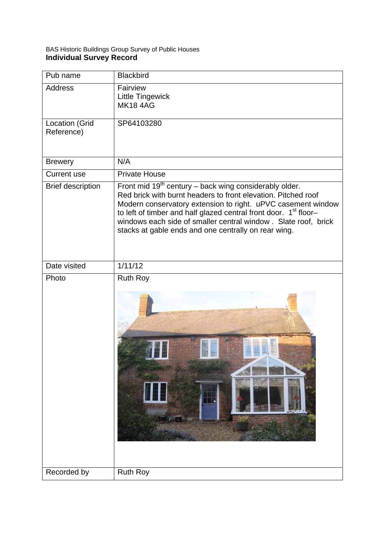| Pub name                     | <b>Blackbird</b>                                                                                                                                                                                                                                                                                                                                                                                     |
|------------------------------|------------------------------------------------------------------------------------------------------------------------------------------------------------------------------------------------------------------------------------------------------------------------------------------------------------------------------------------------------------------------------------------------------|
| <b>Address</b>               | Fairview<br><b>Little Tingewick</b><br><b>MK184AG</b>                                                                                                                                                                                                                                                                                                                                                |
| Location (Grid<br>Reference) | SP64103280                                                                                                                                                                                                                                                                                                                                                                                           |
| <b>Brewery</b>               | N/A                                                                                                                                                                                                                                                                                                                                                                                                  |
| <b>Current use</b>           | <b>Private House</b>                                                                                                                                                                                                                                                                                                                                                                                 |
| <b>Brief description</b>     | Front mid $19th$ century – back wing considerably older.<br>Red brick with burnt headers to front elevation. Pitched roof<br>Modern conservatory extension to right. uPVC casement window<br>to left of timber and half glazed central front door. 1 <sup>st</sup> floor-<br>windows each side of smaller central window . Slate roof, brick<br>stacks at gable ends and one centrally on rear wing. |
| Date visited                 | 1/11/12                                                                                                                                                                                                                                                                                                                                                                                              |
| Photo                        | <b>Ruth Roy</b>                                                                                                                                                                                                                                                                                                                                                                                      |
| Recorded by                  | <b>Ruth Roy</b>                                                                                                                                                                                                                                                                                                                                                                                      |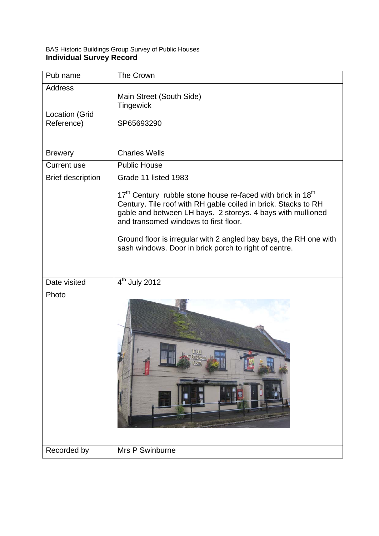| Pub name                            | <b>The Crown</b>                                                                                                                                                                                                                                                                                                                                                                            |
|-------------------------------------|---------------------------------------------------------------------------------------------------------------------------------------------------------------------------------------------------------------------------------------------------------------------------------------------------------------------------------------------------------------------------------------------|
| <b>Address</b>                      | Main Street (South Side)<br>Tingewick                                                                                                                                                                                                                                                                                                                                                       |
| <b>Location (Grid</b><br>Reference) | SP65693290                                                                                                                                                                                                                                                                                                                                                                                  |
| <b>Brewery</b>                      | <b>Charles Wells</b>                                                                                                                                                                                                                                                                                                                                                                        |
| <b>Current use</b>                  | <b>Public House</b>                                                                                                                                                                                                                                                                                                                                                                         |
| <b>Brief description</b>            | Grade 11 listed 1983                                                                                                                                                                                                                                                                                                                                                                        |
|                                     | 17 <sup>th</sup> Century rubble stone house re-faced with brick in 18 <sup>th</sup><br>Century. Tile roof with RH gable coiled in brick. Stacks to RH<br>gable and between LH bays. 2 storeys. 4 bays with mullioned<br>and transomed windows to first floor.<br>Ground floor is irregular with 2 angled bay bays, the RH one with<br>sash windows. Door in brick porch to right of centre. |
| Date visited                        | $4th$ July 2012                                                                                                                                                                                                                                                                                                                                                                             |
| Photo                               | Little                                                                                                                                                                                                                                                                                                                                                                                      |
| Recorded by                         | Mrs P Swinburne                                                                                                                                                                                                                                                                                                                                                                             |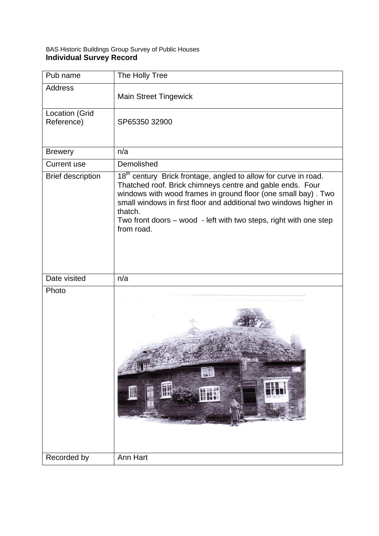| Pub name                            | The Holly Tree                                                                                                                                                                                                                                                                                                                                                               |
|-------------------------------------|------------------------------------------------------------------------------------------------------------------------------------------------------------------------------------------------------------------------------------------------------------------------------------------------------------------------------------------------------------------------------|
| <b>Address</b>                      | <b>Main Street Tingewick</b>                                                                                                                                                                                                                                                                                                                                                 |
| <b>Location (Grid</b><br>Reference) | SP65350 32900                                                                                                                                                                                                                                                                                                                                                                |
| <b>Brewery</b>                      | n/a                                                                                                                                                                                                                                                                                                                                                                          |
| <b>Current use</b>                  | Demolished                                                                                                                                                                                                                                                                                                                                                                   |
| <b>Brief description</b>            | 18 <sup>th</sup> century Brick frontage, angled to allow for curve in road.<br>Thatched roof. Brick chimneys centre and gable ends. Four<br>windows with wood frames in ground floor (one small bay). Two<br>small windows in first floor and additional two windows higher in<br>thatch.<br>Two front doors – wood - left with two steps, right with one step<br>from road. |
| Date visited                        | n/a                                                                                                                                                                                                                                                                                                                                                                          |
| Photo                               |                                                                                                                                                                                                                                                                                                                                                                              |
| Recorded by                         | Ann Hart                                                                                                                                                                                                                                                                                                                                                                     |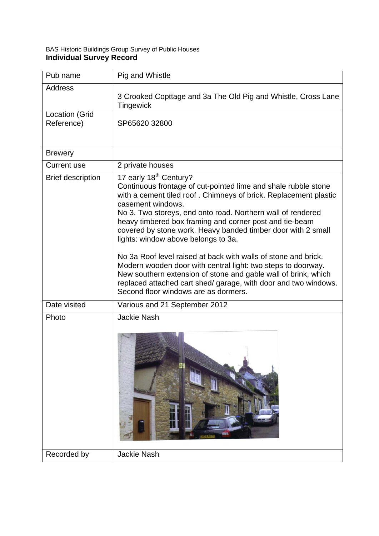| Pub name                            | Pig and Whistle                                                                                                                                                                                                                                                                                                                                                                                                                                                                                                                                                                                                                                                                                                                               |
|-------------------------------------|-----------------------------------------------------------------------------------------------------------------------------------------------------------------------------------------------------------------------------------------------------------------------------------------------------------------------------------------------------------------------------------------------------------------------------------------------------------------------------------------------------------------------------------------------------------------------------------------------------------------------------------------------------------------------------------------------------------------------------------------------|
| <b>Address</b>                      | 3 Crooked Copttage and 3a The Old Pig and Whistle, Cross Lane<br>Tingewick                                                                                                                                                                                                                                                                                                                                                                                                                                                                                                                                                                                                                                                                    |
| <b>Location (Grid</b><br>Reference) | SP65620 32800                                                                                                                                                                                                                                                                                                                                                                                                                                                                                                                                                                                                                                                                                                                                 |
| <b>Brewery</b>                      |                                                                                                                                                                                                                                                                                                                                                                                                                                                                                                                                                                                                                                                                                                                                               |
| <b>Current use</b>                  | 2 private houses                                                                                                                                                                                                                                                                                                                                                                                                                                                                                                                                                                                                                                                                                                                              |
| <b>Brief description</b>            | 17 early 18 <sup>th</sup> Century?<br>Continuous frontage of cut-pointed lime and shale rubble stone<br>with a cement tiled roof. Chimneys of brick. Replacement plastic<br>casement windows.<br>No 3. Two storeys, end onto road. Northern wall of rendered<br>heavy timbered box framing and corner post and tie-beam<br>covered by stone work. Heavy banded timber door with 2 small<br>lights: window above belongs to 3a.<br>No 3a Roof level raised at back with walls of stone and brick.<br>Modern wooden door with central light: two steps to doorway.<br>New southern extension of stone and gable wall of brink, which<br>replaced attached cart shed/ garage, with door and two windows.<br>Second floor windows are as dormers. |
| Date visited                        | Various and 21 September 2012                                                                                                                                                                                                                                                                                                                                                                                                                                                                                                                                                                                                                                                                                                                 |
| Photo                               | <b>Jackie Nash</b>                                                                                                                                                                                                                                                                                                                                                                                                                                                                                                                                                                                                                                                                                                                            |
| Recorded by                         | <b>Jackie Nash</b>                                                                                                                                                                                                                                                                                                                                                                                                                                                                                                                                                                                                                                                                                                                            |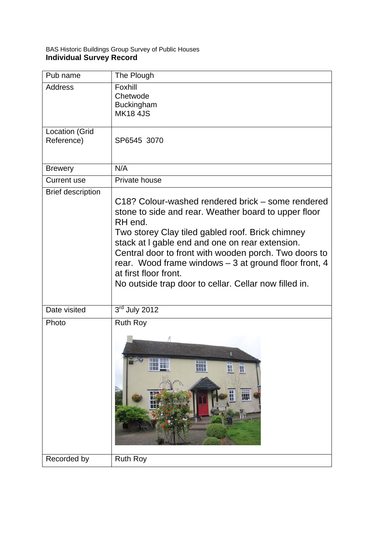| Pub name                            | The Plough                                                                                                                                                                                                                                                                                                                                                                                                                      |
|-------------------------------------|---------------------------------------------------------------------------------------------------------------------------------------------------------------------------------------------------------------------------------------------------------------------------------------------------------------------------------------------------------------------------------------------------------------------------------|
| <b>Address</b>                      | Foxhill<br>Chetwode<br><b>Buckingham</b><br><b>MK18 4JS</b>                                                                                                                                                                                                                                                                                                                                                                     |
| <b>Location (Grid</b><br>Reference) | SP6545 3070                                                                                                                                                                                                                                                                                                                                                                                                                     |
| <b>Brewery</b>                      | N/A                                                                                                                                                                                                                                                                                                                                                                                                                             |
| <b>Current use</b>                  | Private house                                                                                                                                                                                                                                                                                                                                                                                                                   |
| <b>Brief description</b>            | C18? Colour-washed rendered brick – some rendered<br>stone to side and rear. Weather board to upper floor<br>RH end.<br>Two storey Clay tiled gabled roof. Brick chimney<br>stack at I gable end and one on rear extension.<br>Central door to front with wooden porch. Two doors to<br>rear. Wood frame windows - 3 at ground floor front, 4<br>at first floor front.<br>No outside trap door to cellar. Cellar now filled in. |
| Date visited                        | $3rd$ July 2012                                                                                                                                                                                                                                                                                                                                                                                                                 |
| Photo                               | <b>Ruth Roy</b><br>$\overline{+1}$<br>$\mathbb{H}$<br>$\mathbb H$<br>11 T<br>W                                                                                                                                                                                                                                                                                                                                                  |
| Recorded by                         | <b>Ruth Roy</b>                                                                                                                                                                                                                                                                                                                                                                                                                 |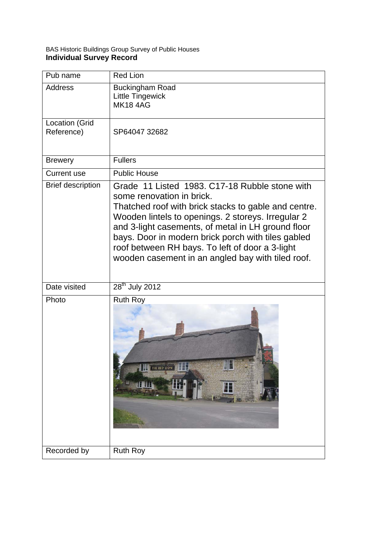| Pub name                     | <b>Red Lion</b>                                                                                                                                                                                                                                                                                                                                                                                               |
|------------------------------|---------------------------------------------------------------------------------------------------------------------------------------------------------------------------------------------------------------------------------------------------------------------------------------------------------------------------------------------------------------------------------------------------------------|
| <b>Address</b>               | <b>Buckingham Road</b><br><b>Little Tingewick</b><br><b>MK184AG</b>                                                                                                                                                                                                                                                                                                                                           |
| Location (Grid<br>Reference) | SP64047 32682                                                                                                                                                                                                                                                                                                                                                                                                 |
| <b>Brewery</b>               | <b>Fullers</b>                                                                                                                                                                                                                                                                                                                                                                                                |
| <b>Current use</b>           | <b>Public House</b>                                                                                                                                                                                                                                                                                                                                                                                           |
| <b>Brief description</b>     | Grade 11 Listed 1983, C17-18 Rubble stone with<br>some renovation in brick.<br>Thatched roof with brick stacks to gable and centre.<br>Wooden lintels to openings. 2 storeys. Irregular 2<br>and 3-light casements, of metal in LH ground floor<br>bays. Door in modern brick porch with tiles gabled<br>roof between RH bays. To left of door a 3-light<br>wooden casement in an angled bay with tiled roof. |
| Date visited                 | $28th$ July 2012                                                                                                                                                                                                                                                                                                                                                                                              |
| Photo                        | <b>Ruth Roy</b><br>THE RED LION                                                                                                                                                                                                                                                                                                                                                                               |
| Recorded by                  | <b>Ruth Roy</b>                                                                                                                                                                                                                                                                                                                                                                                               |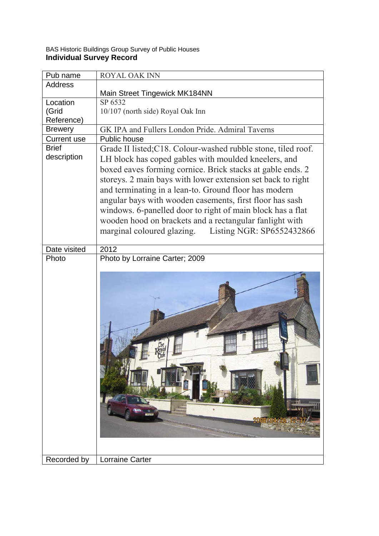| Pub name           | <b>ROYAL OAK INN</b>                                          |
|--------------------|---------------------------------------------------------------|
| <b>Address</b>     |                                                               |
|                    | Main Street Tingewick MK184NN                                 |
| Location           | SP 6532                                                       |
| (Grid              | 10/107 (north side) Royal Oak Inn                             |
| Reference)         |                                                               |
| <b>Brewery</b>     | GK IPA and Fullers London Pride. Admiral Taverns              |
| <b>Current use</b> | Public house                                                  |
| <b>Brief</b>       | Grade II listed; C18. Colour-washed rubble stone, tiled roof. |
| description        | LH block has coped gables with moulded kneelers, and          |
|                    | boxed eaves forming cornice. Brick stacks at gable ends. 2    |
|                    | storeys. 2 main bays with lower extension set back to right   |
|                    | and terminating in a lean-to. Ground floor has modern         |
|                    | angular bays with wooden casements, first floor has sash      |
|                    |                                                               |
|                    | windows. 6-panelled door to right of main block has a flat    |
|                    | wooden hood on brackets and a rectangular fanlight with       |
|                    | marginal coloured glazing. Listing NGR: SP6552432866          |
|                    |                                                               |
| Date visited       | 2012                                                          |
| Photo              | Photo by Lorraine Carter; 2009                                |
|                    |                                                               |
| Recorded by        | Lorraine Carter                                               |